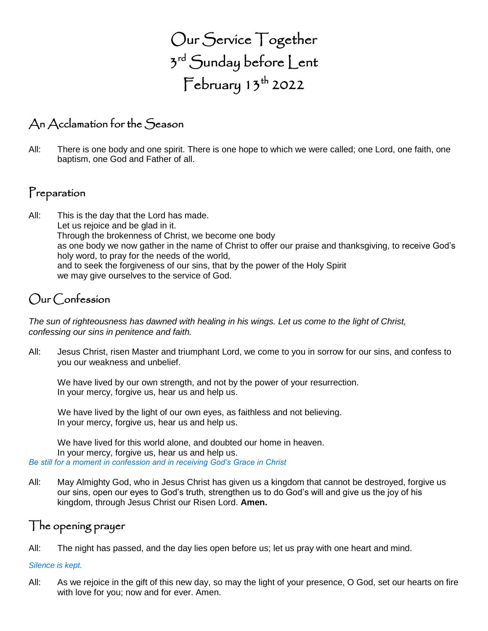Our Service Together 3<sup>rd</sup> Sunday before Lent  $\mathsf{February}$  13<sup>th</sup> 2022

## An Acclamation for the Season

All: There is one body and one spirit. There is one hope to which we were called; one Lord, one faith, one baptism, one God and Father of all.

## Preparation

All: This is the day that the Lord has made. Let us rejoice and be glad in it. Through the brokenness of Christ, we become one body as one body we now gather in the name of Christ to offer our praise and thanksgiving, to receive God's holy word, to pray for the needs of the world, and to seek the forgiveness of our sins, that by the power of the Holy Spirit we may give ourselves to the service of God.

## Our Confession

*The sun of righteousness has dawned with healing in his wings. Let us come to the light of Christ, confessing our sins in penitence and faith.*

All: Jesus Christ, risen Master and triumphant Lord, we come to you in sorrow for our sins, and confess to you our weakness and unbelief.

We have lived by our own strength, and not by the power of your resurrection. In your mercy, forgive us, hear us and help us.

We have lived by the light of our own eyes, as faithless and not believing. In your mercy, forgive us, hear us and help us.

We have lived for this world alone, and doubted our home in heaven. In your mercy, forgive us, hear us and help us. *Be still for a moment in confession and in receiving God's Grace in Christ*

All: May Almighty God, who in Jesus Christ has given us a kingdom that cannot be destroyed, forgive us our sins, open our eyes to God's truth, strengthen us to do God's will and give us the joy of his kingdom, through Jesus Christ our Risen Lord. **Amen.**

### The opening prayer

All: The night has passed, and the day lies open before us; let us pray with one heart and mind.

#### *Silence is kept.*

All: As we rejoice in the gift of this new day, so may the light of your presence, O God, set our hearts on fire with love for you; now and for ever. Amen.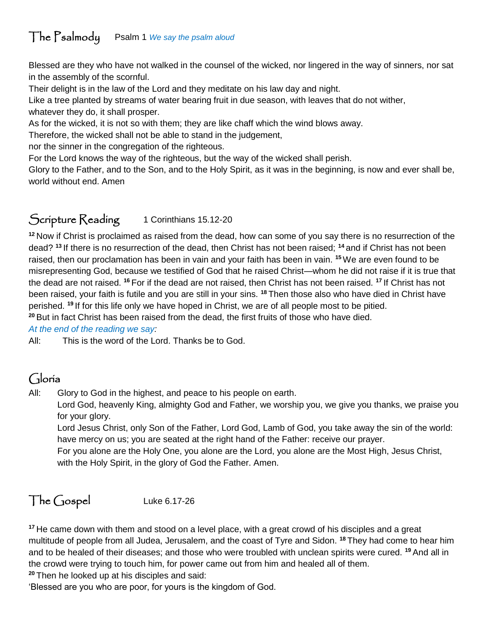## The Psalmody Psalm 1 *We say the psalm aloud*

Blessed are they who have not walked in the counsel of the wicked, nor lingered in the way of sinners, nor sat in the assembly of the scornful.

Their delight is in the law of the Lord and they meditate on his law day and night.

Like a tree planted by streams of water bearing fruit in due season, with leaves that do not wither, whatever they do, it shall prosper.

As for the wicked, it is not so with them; they are like chaff which the wind blows away.

Therefore, the wicked shall not be able to stand in the judgement,

nor the sinner in the congregation of the righteous.

For the Lord knows the way of the righteous, but the way of the wicked shall perish.

Glory to the Father, and to the Son, and to the Holy Spirit, as it was in the beginning, is now and ever shall be, world without end. Amen

## Scripture Reading 1 Corinthians 15.12-20

**<sup>12</sup>** Now if Christ is proclaimed as raised from the dead, how can some of you say there is no resurrection of the dead? **<sup>13</sup>** If there is no resurrection of the dead, then Christ has not been raised; **<sup>14</sup>** and if Christ has not been raised, then our proclamation has been in vain and your faith has been in vain. **<sup>15</sup>**We are even found to be misrepresenting God, because we testified of God that he raised Christ—whom he did not raise if it is true that the dead are not raised. **<sup>16</sup>** For if the dead are not raised, then Christ has not been raised. **<sup>17</sup>** If Christ has not been raised, your faith is futile and you are still in your sins. **<sup>18</sup>** Then those also who have died in Christ have perished. **<sup>19</sup>** If for this life only we have hoped in Christ, we are of all people most to be pitied. **<sup>20</sup>** But in fact Christ has been raised from the dead, the first fruits of those who have died.

*At the end of the reading we say:*

All: This is the word of the Lord. Thanks be to God.

## Gloria

All: Glory to God in the highest, and peace to his people on earth.

Lord God, heavenly King, almighty God and Father, we worship you, we give you thanks, we praise you for your glory.

Lord Jesus Christ, only Son of the Father, Lord God, Lamb of God, you take away the sin of the world: have mercy on us; you are seated at the right hand of the Father: receive our prayer.

For you alone are the Holy One, you alone are the Lord, you alone are the Most High, Jesus Christ, with the Holy Spirit, in the glory of God the Father. Amen.

# The Gospel Luke 6.17-26

**<sup>17</sup>** He came down with them and stood on a level place, with a great crowd of his disciples and a great multitude of people from all Judea, Jerusalem, and the coast of Tyre and Sidon. **<sup>18</sup>** They had come to hear him and to be healed of their diseases; and those who were troubled with unclean spirits were cured. **<sup>19</sup>** And all in the crowd were trying to touch him, for power came out from him and healed all of them.

**<sup>20</sup>** Then he looked up at his disciples and said:

'Blessed are you who are poor, for yours is the kingdom of God.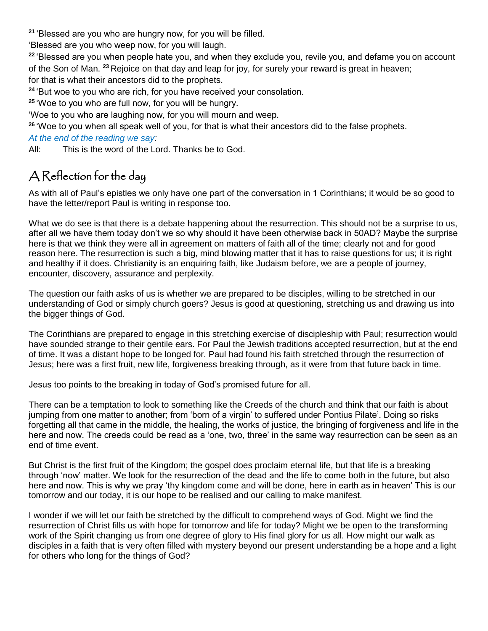**<sup>21</sup>** 'Blessed are you who are hungry now, for you will be filled.

'Blessed are you who weep now, for you will laugh.

**<sup>22</sup>** 'Blessed are you when people hate you, and when they exclude you, revile you, and defame you on account of the Son of Man. **<sup>23</sup>** Rejoice on that day and leap for joy, for surely your reward is great in heaven; for that is what their ancestors did to the prophets.

**<sup>24</sup>** 'But woe to you who are rich, for you have received your consolation.

**<sup>25</sup>** 'Woe to you who are full now, for you will be hungry.

'Woe to you who are laughing now, for you will mourn and weep.

**<sup>26</sup>** 'Woe to you when all speak well of you, for that is what their ancestors did to the false prophets.

#### *At the end of the reading we say:*

All: This is the word of the Lord. Thanks be to God.

# A Reflection for the day

As with all of Paul's epistles we only have one part of the conversation in 1 Corinthians; it would be so good to have the letter/report Paul is writing in response too.

What we do see is that there is a debate happening about the resurrection. This should not be a surprise to us, after all we have them today don't we so why should it have been otherwise back in 50AD? Maybe the surprise here is that we think they were all in agreement on matters of faith all of the time; clearly not and for good reason here. The resurrection is such a big, mind blowing matter that it has to raise questions for us; it is right and healthy if it does. Christianity is an enquiring faith, like Judaism before, we are a people of journey, encounter, discovery, assurance and perplexity.

The question our faith asks of us is whether we are prepared to be disciples, willing to be stretched in our understanding of God or simply church goers? Jesus is good at questioning, stretching us and drawing us into the bigger things of God.

The Corinthians are prepared to engage in this stretching exercise of discipleship with Paul; resurrection would have sounded strange to their gentile ears. For Paul the Jewish traditions accepted resurrection, but at the end of time. It was a distant hope to be longed for. Paul had found his faith stretched through the resurrection of Jesus; here was a first fruit, new life, forgiveness breaking through, as it were from that future back in time.

Jesus too points to the breaking in today of God's promised future for all.

There can be a temptation to look to something like the Creeds of the church and think that our faith is about jumping from one matter to another; from 'born of a virgin' to suffered under Pontius Pilate'. Doing so risks forgetting all that came in the middle, the healing, the works of justice, the bringing of forgiveness and life in the here and now. The creeds could be read as a 'one, two, three' in the same way resurrection can be seen as an end of time event.

But Christ is the first fruit of the Kingdom; the gospel does proclaim eternal life, but that life is a breaking through 'now' matter. We look for the resurrection of the dead and the life to come both in the future, but also here and now. This is why we pray 'thy kingdom come and will be done, here in earth as in heaven' This is our tomorrow and our today, it is our hope to be realised and our calling to make manifest.

I wonder if we will let our faith be stretched by the difficult to comprehend ways of God. Might we find the resurrection of Christ fills us with hope for tomorrow and life for today? Might we be open to the transforming work of the Spirit changing us from one degree of glory to His final glory for us all. How might our walk as disciples in a faith that is very often filled with mystery beyond our present understanding be a hope and a light for others who long for the things of God?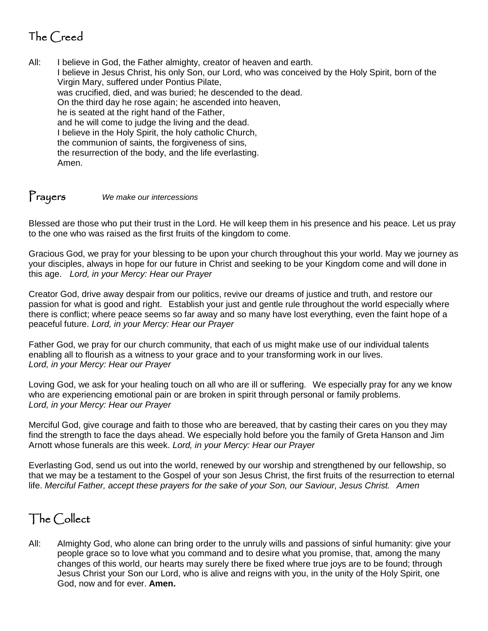# The Creed

All: I believe in God, the Father almighty, creator of heaven and earth. I believe in Jesus Christ, his only Son, our Lord, who was conceived by the Holy Spirit, born of the Virgin Mary, suffered under Pontius Pilate, was crucified, died, and was buried; he descended to the dead. On the third day he rose again; he ascended into heaven, he is seated at the right hand of the Father, and he will come to judge the living and the dead. I believe in the Holy Spirit, the holy catholic Church, the communion of saints, the forgiveness of sins, the resurrection of the body, and the life everlasting. Amen.

## Prayers *We make our intercessions*

Blessed are those who put their trust in the Lord. He will keep them in his presence and his peace. Let us pray to the one who was raised as the first fruits of the kingdom to come.

Gracious God, we pray for your blessing to be upon your church throughout this your world. May we journey as your disciples, always in hope for our future in Christ and seeking to be your Kingdom come and will done in this age. *Lord, in your Mercy: Hear our Prayer*

Creator God, drive away despair from our politics, revive our dreams of justice and truth, and restore our passion for what is good and right. Establish your just and gentle rule throughout the world especially where there is conflict; where peace seems so far away and so many have lost everything, even the faint hope of a peaceful future. *Lord, in your Mercy: Hear our Prayer*

Father God, we pray for our church community, that each of us might make use of our individual talents enabling all to flourish as a witness to your grace and to your transforming work in our lives. *Lord, in your Mercy: Hear our Prayer*

Loving God, we ask for your healing touch on all who are ill or suffering. We especially pray for any we know who are experiencing emotional pain or are broken in spirit through personal or family problems. *Lord, in your Mercy: Hear our Prayer*

Merciful God, give courage and faith to those who are bereaved, that by casting their cares on you they may find the strength to face the days ahead. We especially hold before you the family of Greta Hanson and Jim Arnott whose funerals are this week. *Lord, in your Mercy: Hear our Prayer*

Everlasting God, send us out into the world, renewed by our worship and strengthened by our fellowship, so that we may be a testament to the Gospel of your son Jesus Christ, the first fruits of the resurrection to eternal life. *Merciful Father, accept these prayers for the sake of your Son, our Saviour, Jesus Christ. Amen*

### The Collect

All: Almighty God, who alone can bring order to the unruly wills and passions of sinful humanity: give your people grace so to love what you command and to desire what you promise, that, among the many changes of this world, our hearts may surely there be fixed where true joys are to be found; through Jesus Christ your Son our Lord, who is alive and reigns with you, in the unity of the Holy Spirit, one God, now and for ever. **Amen.**